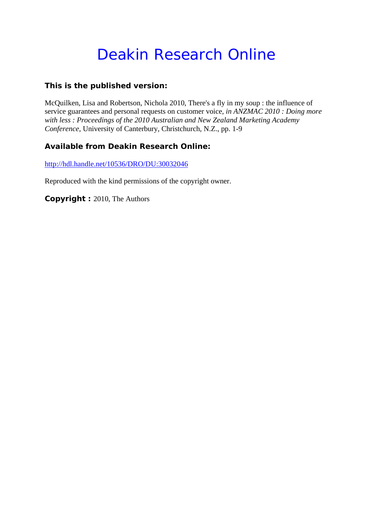# Deakin Research Online

# **This is the published version:**

McQuilken, Lisa and Robertson, Nichola 2010, There's a fly in my soup : the influence of service guarantees and personal requests on customer voice*, in ANZMAC 2010 : Doing more with less : Proceedings of the 2010 Australian and New Zealand Marketing Academy Conference*, University of Canterbury, Christchurch, N.Z., pp. 1-9

# **Available from Deakin Research Online:**

http://hdl.handle.net/10536/DRO/DU:30032046

Reproduced with the kind permissions of the copyright owner.

**Copyright :** 2010, The Authors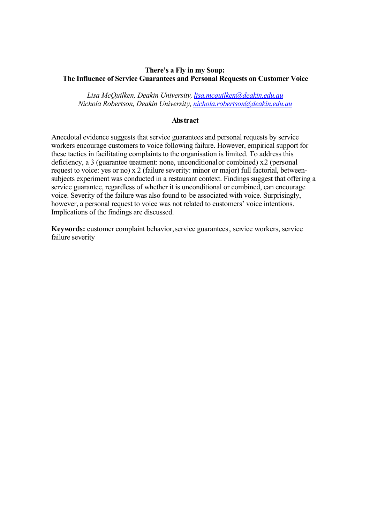## **There's a Fly in my Soup: The Influence of Service Guarantees and Personal Requests on Customer Voice**

*Lisa McQuilken, Deakin University, lisa.mcquilken@deakin.edu.au Nichola Robertson, Deakin University, nichola.robertson@deakin.edu.au*

#### **Abstract**

Anecdotal evidence suggests that service guarantees and personal requests by service workers encourage customers to voice following failure. However, empirical support for these tactics in facilitating complaints to the organisation is limited. To address this deficiency, a 3 (guarantee treatment: none, unconditional or combined) x 2 (personal request to voice: yes or no) x 2 (failure severity: minor or major) full factorial, betweensubjects experiment was conducted in a restaurant context. Findings suggest that offering a service guarantee, regardless of whether it is unconditional or combined, can encourage voice. Severity of the failure was also found to be associated with voice. Surprisingly, however, a personal request to voice was not related to customers' voice intentions. Implications of the findings are discussed.

**Keywords:** customer complaint behavior, service guarantees, service workers, service failure severity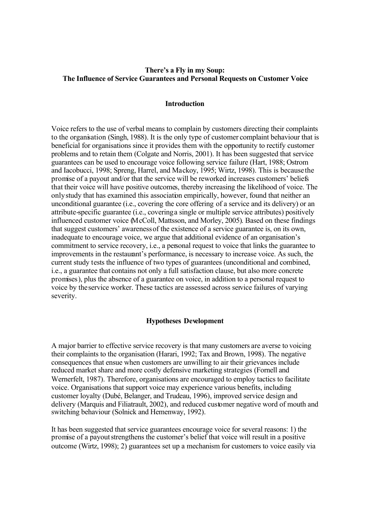# **There's a Fly in my Soup: The Influence of Service Guarantees and Personal Requests on Customer Voice**

#### **Introduction**

Voice refers to the use of verbal means to complain by customers directing their complaints to the organisation (Singh, 1988). It is the only type of customer complaint behaviour that is beneficial for organisations since it provides them with the opportunity to rectify customer problems and to retain them (Colgate and Norris, 2001). It has been suggested that service guarantees can be used to encourage voice following service failure (Hart, 1988; Ostrom and Iacobucci, 1998; Spreng, Harrel, and Mackoy, 1995; Wirtz, 1998). This is because the promise of a payout and/or that the service will be reworked increases customers' beliefs that their voice will have positive outcomes, thereby increasing the likelihood of voice. The only study that has examined this association empirically, however, found that neither an unconditional guarantee (i.e., covering the core offering of a service and its delivery) or an attribute-specific guarantee (i.e., covering a single or multiple service attributes) positively influenced customer voice (McColl, Mattsson, and Morley, 2005). Based on these findings that suggest customers' awareness of the existence of a service guarantee is, on its own, inadequate to encourage voice, we argue that additional evidence of an organisation's commitment to service recovery, i.e., a personal request to voice that links the guarantee to improvements in the restaurant's performance, is necessary to increase voice. As such, the current study tests the influence of two types of guarantees (unconditional and combined, i.e., a guarantee that contains not only a full satisfaction clause, but also more concrete promises), plus the absence of a guarantee on voice, in addition to a personal request to voice by the service worker. These tactics are assessed across service failures of varying severity.

#### **Hypotheses Development**

A major barrier to effective service recovery is that many customers are averse to voicing their complaints to the organisation (Harari, 1992; Tax and Brown, 1998). The negative consequences that ensue when customers are unwilling to air their grievances include reduced market share and more costly defensive marketing strategies (Fornell and Wernerfelt, 1987). Therefore, organisations are encouraged to employ tactics to facilitate voice. Organisations that support voice may experience various benefits, including customer loyalty (Dubé, Belanger, and Trudeau, 1996), improved service design and delivery (Marquis and Filiatrault, 2002), and reduced customer negative word of mouth and switching behaviour (Solnick and Hemenway, 1992).

It has been suggested that service guarantees encourage voice for several reasons: 1) the promise of a payoutstrengthens the customer's belief that voice will result in a positive outcome (Wirtz, 1998); 2) guarantees set up a mechanism for customers to voice easily via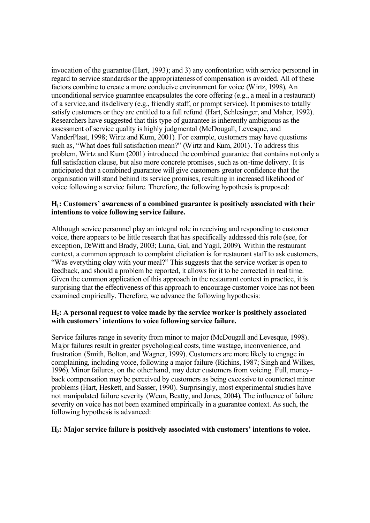invocation of the guarantee (Hart, 1993); and 3) any confrontation with service personnel in regard to service standards or the appropriateness of compensation is avoided. All of these factors combine to create a more conducive environment for voice (Wirtz, 1998). An unconditional service guarantee encapsulates the core offering (e.g., a meal in a restaurant) of a service, and its delivery (e.g., friendly staff, or prompt service). It promises to totally satisfy customers or they are entitled to a full refund (Hart, Schlesinger, and Maher, 1992). Researchers have suggested that this type of guarantee is inherently ambiguous as the assessment of service quality is highly judgmental (McDougall, Levesque, and VanderPlaat, 1998; Wirtz and Kum, 2001). For example, customers may have questions such as, "What does full satisfaction mean?" (Wirtz and Kum, 2001). To address this problem, Wirtz and Kum (2001) introduced the combined guarantee that contains not only a full satisfaction clause, but also more concrete promises, such as on-time delivery. It is anticipated that a combined guarantee will give customers greater confidence that the organisation will stand behind its service promises, resulting in increased likelihood of voice following a service failure. Therefore, the following hypothesis is proposed:

# **H1: Customers' awareness of a combined guarantee is positively associated with their intentions to voice following service failure.**

Although service personnel play an integral role in receiving and responding to customer voice, there appears to be little research that has specifically addressed this role (see, for exception, DeWitt and Brady, 2003; Luria, Gal, and Yagil, 2009). Within the restaurant context, a common approach to complaint elicitation is for restaurant staff to ask customers, "Was everything okay with your meal?" This suggests that the service worker is open to feedback, and should a problem be reported, it allows for it to be corrected in real time. Given the common application of this approach in the restaurant context in practice, it is surprising that the effectiveness of this approach to encourage customer voice has not been examined empirically. Therefore, we advance the following hypothesis:

# **H2: A personal request to voice made by the service worker is positively associated with customers' intentions to voice following service failure.**

Service failures range in severity from minor to major (McDougall and Levesque, 1998). Major failures result in greater psychological costs, time wastage, inconvenience, and frustration (Smith, Bolton, and Wagner, 1999). Customers are more likely to engage in complaining, including voice, following a major failure (Richins, 1987; Singh and Wilkes, 1996). Minor failures, on the other hand, may deter customers from voicing. Full, moneyback compensation may be perceived by customers as being excessive to counteract minor problems (Hart, Heskett, and Sasser, 1990). Surprisingly, most experimental studies have not manipulated failure severity (Weun, Beatty, and Jones, 2004). The influence of failure severity on voice has not been examined empirically in a guarantee context. As such, the following hypothesis is advanced:

## **H3: Major service failure is positively associated with customers' intentions to voice.**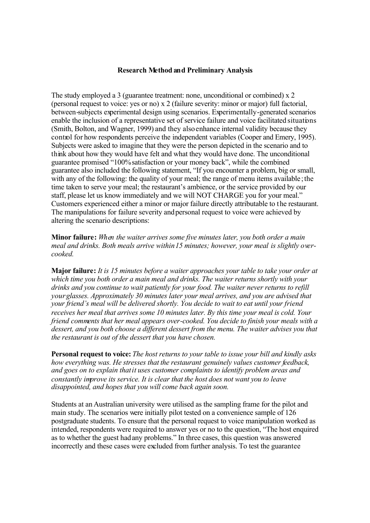### **Research Method and Preliminary Analysis**

The study employed a 3 (guarantee treatment: none, unconditional or combined) x 2 (personal request to voice: yes or no) x 2 (failure severity: minor or major) full factorial, between-subjects experimental design using scenarios. Experimentally-generated scenarios enable the inclusion of a representative set of service failure and voice facilitated situations (Smith, Bolton, and Wagner, 1999) and they also enhance internal validity because they control for how respondents perceive the independent variables (Cooper and Emery, 1995). Subjects were asked to imagine that they were the person depicted in the scenario and to think about how they would have felt and what they would have done. The unconditional guarantee promised "100% satisfaction or your money back", while the combined guarantee also included the following statement, "If you encounter a problem, big or small, with any of the following: the quality of your meal; the range of menu items available; the time taken to serve your meal; the restaurant's ambience, or the service provided by our staff, please let us know immediately and we will NOT CHARGE you for your meal." Customers experienced either a minor or major failure directly attributable to the restaurant. The manipulations for failure severity and personal request to voice were achieved by altering the scenario descriptions:

**Minor failure:** *When the waiter arrives some five minutes later, you both order a main meal and drinks. Both meals arrive within 15 minutes; however, your meal is slightly overcooked.*

**Major failure:** *It is 15 minutes before a waiter approaches your table to take your order at which time you both order a main meal and drinks. The waiter returns shortly with your drinks and you continue to wait patiently for your food. The waiter never returns to refill your glasses. Approximately 30 minutes later your meal arrives, and you are advised that your friend's meal will be delivered shortly. You decide to wait to eat until your friend receives her meal that arrives some 10 minutes later. By this time your meal is cold. Your friend comments that her meal appears over-cooked. You decide to finish your meals with a dessert, and you both choose a different dessert from the menu. The waiter advises you that the restaurant is out of the dessert that you have chosen.* 

**Personal request to voice:** *The host returns to your table to issue your bill and kindly asks how everything was. He stresses that the restaurant genuinely values customer feedback, and goes on to explain that it uses customer complaints to identify problem areas and constantly improve its service. It is clear that the host does not want you to leave disappointed, and hopes that you will come back again soon.* 

Students at an Australian university were utilised as the sampling frame for the pilot and main study. The scenarios were initially pilot tested on a convenience sample of 126 postgraduate students. To ensure that the personal request to voice manipulation worked as intended, respondents were required to answer yes or no to the question, "The host enquired as to whether the guest had any problems." In three cases, this question was answered incorrectly and these cases were excluded from further analysis. To test the guarantee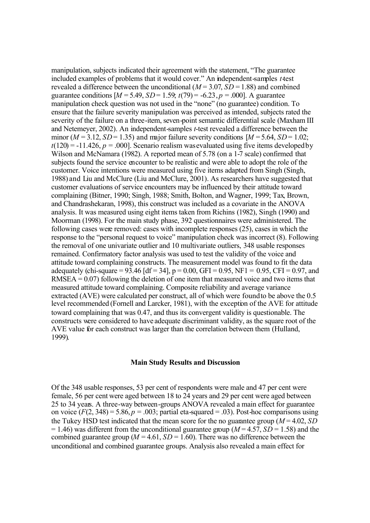manipulation, subjects indicated their agreement with the statement, "The guarantee included examples of problems that it would cover." An independent-samples *t*-test revealed a difference between the unconditional  $(M = 3.07, SD = 1.88)$  and combined guarantee conditions  $[M = 5.49, SD = 1.59; t(79) = -6.23, p = .000]$ . A guarantee manipulation check question was not used in the "none" (no guarantee) condition. To ensure that the failure severity manipulation was perceived as intended, subjects rated the severity of the failure on a three-item, seven-point semantic differential scale (Maxham III and Netemeyer, 2002). An independent-samples *t*-test revealed a difference between the minor ( $M = 3.12$ ,  $SD = 1.35$ ) and major failure severity conditions  $[M = 5.64, SD = 1.02$ ;  $t(120) = -11.426$ ,  $p = .000$ . Scenario realism was evaluated using five items developed by Wilson and McNamara (1982). A reported mean of 5.78 (on a 1-7 scale) confirmed that subjects found the service encounter to be realistic and were able to adopt the role of the customer. Voice intentions were measured using five items adapted from Singh (Singh, 1988) and Liu and McClure (Liu and McClure, 2001). As researchers have suggested that customer evaluations of service encounters may be influenced by their attitude toward complaining (Bitner, 1990; Singh, 1988; Smith, Bolton, and Wagner, 1999; Tax, Brown, and Chandrashekaran, 1998), this construct was included as a covariate in the ANOVA analysis. It was measured using eight items taken from Richins (1982), Singh (1990) and Moorman (1998). For the main study phase, 392 questionnaires were administered. The following cases were removed: cases with incomplete responses (25), cases in which the response to the "personal request to voice" manipulation check was incorrect (8). Following the removal of one univariate outlier and 10 multivariate outliers, 348 usable responses remained. Confirmatory factor analysis was used to test the validity of the voice and attitude toward complaining constructs. The measurement model was found to fit the data adequately (chi-square = 93.46 [df = 34],  $p = 0.00$ , GFI = 0.95, NF1 = 0.95, CFI = 0.97, and  $RMSEA = 0.07$  following the deletion of one item that measured voice and two items that measured attitude toward complaining. Composite reliability and average variance extracted (AVE) were calculated per construct, all of which were found to be above the 0.5 level recommended (Fornell and Larcker, 1981), with the exception of the AVE for attitude toward complaining that was 0.47, and thus its convergent validity is questionable. The constructs were considered to have adequate discriminant validity, as the square root of the AVE value for each construct was larger than the correlation between them (Hulland, 1999).

#### **Main Study Results and Discussion**

Of the 348 usable responses, 53 per cent of respondents were male and 47 per cent were female, 56 per cent were aged between 18 to 24 years and 29 per cent were aged between 25 to 34 years. A three-way between-groups ANOVA revealed a main effect for guarantee on voice  $(F(2, 348) = 5.86, p = .003$ ; partial eta-squared = .03). Post-hoc comparisons using the Tukey HSD test indicated that the mean score for the no guarantee group  $(M = 4.02, SD)$  $= 1.46$ ) was different from the unconditional guarantee group ( $M = 4.57$ ,  $SD = 1.58$ ) and the combined guarantee group ( $M = 4.61$ ,  $SD = 1.60$ ). There was no difference between the unconditional and combined guarantee groups. Analysis also revealed a main effect for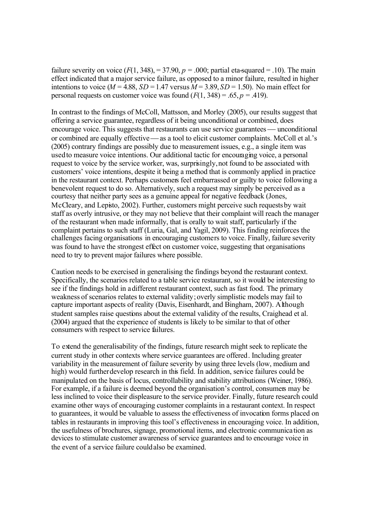failure severity on voice  $(F(1, 348)) = 37.90$ ,  $p = .000$ ; partial eta-squared = .10). The main effect indicated that a major service failure, as opposed to a minor failure, resulted in higher intentions to voice ( $M = 4.88$ ,  $SD = 1.47$  versus  $M = 3.89$ ,  $SD = 1.50$ ). No main effect for personal requests on customer voice was found  $(F(1, 348) = .65, p = .419)$ .

In contrast to the findings of McColl, Mattsson, and Morley (2005), our results suggest that offering a service guarantee, regardless of it being unconditional or combined, does encourage voice. This suggests that restaurants can use service guarantees — unconditional or combined are equally effective — as a tool to elicit customer complaints. McColl et al.'s (2005) contrary findings are possibly due to measurement issues, e.g., a single item was used to measure voice intentions. Our additional tactic for encouraging voice, a personal request to voice by the service worker, was, surprisingly, not found to be associated with customers' voice intentions, despite it being a method that is commonly applied in practice in the restaurant context. Perhaps customers feel embarrassed or guilty to voice following a benevolent request to do so. Alternatively, such a request may simply be perceived as a courtesy that neither party sees as a genuine appeal for negative feedback (Jones, McCleary, and Lepisto, 2002). Further, customers might perceive such requests by wait staff as overly intrusive, or they may not believe that their complaint will reach the manager of the restaurant when made informally, that is orally to wait staff, particularly if the complaint pertains to such staff (Luria, Gal, and Yagil, 2009). This finding reinforces the challenges facing organisations in encouraging customers to voice. Finally, failure severity was found to have the strongest effect on customer voice, suggesting that organisations need to try to prevent major failures where possible.

Caution needs to be exercised in generalising the findings beyond the restaurant context. Specifically, the scenarios related to a table service restaurant, so it would be interesting to see if the findings hold in a different restaurant context, such as fast food. The primary weakness of scenarios relates to external validity;overly simplistic models may fail to capture important aspects of reality (Davis, Eisenhardt, and Bingham, 2007). Although student samples raise questions about the external validity of the results, Craighead et al. (2004) argued that the experience of students is likely to be similar to that of other consumers with respect to service failures.

To extend the generalisability of the findings, future research might seek to replicate the current study in other contexts where service guarantees are offered. Including greater variability in the measurement of failure severity by using three levels (low, medium and high) would further develop research in this field. In addition, service failures could be manipulated on the basis of locus, controllability and stability attributions (Weiner, 1986). For example, if a failure is deemed beyond the organisation's control, consumers may be less inclined to voice their displeasure to the service provider. Finally, future research could examine other ways of encouraging customer complaints in a restaurant context. In respect to guarantees, it would be valuable to assess the effectiveness of invocation forms placed on tables in restaurants in improving this tool's effectiveness in encouraging voice. In addition, the usefulness of brochures, signage, promotional items, and electronic communication as devices to stimulate customer awareness of service guarantees and to encourage voice in the event of a service failure could also be examined.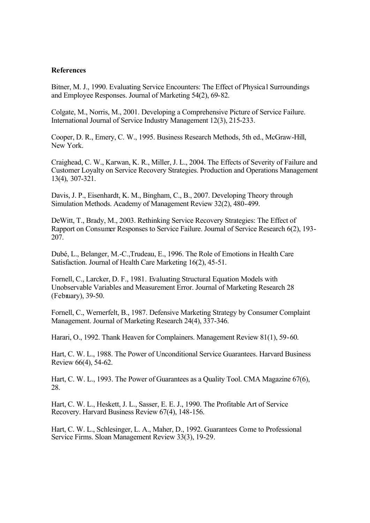#### **References**

Bitner, M. J., 1990. Evaluating Service Encounters: The Effect of Physical Surroundings and Employee Responses. Journal of Marketing 54(2), 69-82.

Colgate, M., Norris, M., 2001. Developing a Comprehensive Picture of Service Failure. International Journal of Service Industry Management 12(3), 215-233.

Cooper, D. R., Emery, C. W., 1995. Business Research Methods, 5th ed., McGraw-Hill, New York.

Craighead, C. W., Karwan, K. R., Miller, J. L., 2004. The Effects of Severity of Failure and Customer Loyalty on Service Recovery Strategies. Production and Operations Management 13(4), 307-321.

Davis, J. P., Eisenhardt, K. M., Bingham, C., B., 2007. Developing Theory through Simulation Methods. Academy of Management Review 32(2), 480-499.

DeWitt, T., Brady, M., 2003. Rethinking Service Recovery Strategies: The Effect of Rapport on Consumer Responses to Service Failure. Journal of Service Research 6(2), 193- 207.

Dubé, L., Belanger, M.-C.,Trudeau, E., 1996. The Role of Emotions in Health Care Satisfaction. Journal of Health Care Marketing 16(2), 45-51.

Fornell, C., Larcker, D. F., 1981. Evaluating Structural Equation Models with Unobservable Variables and Measurement Error. Journal of Marketing Research 28 (February), 39-50.

Fornell, C., Wernerfelt, B., 1987. Defensive Marketing Strategy by Consumer Complaint Management. Journal of Marketing Research 24(4), 337-346.

Harari, O., 1992. Thank Heaven for Complainers. Management Review 81(1), 59-60.

Hart, C. W. L., 1988. The Power of Unconditional Service Guarantees. Harvard Business Review 66(4), 54-62.

Hart, C. W. L., 1993. The Power of Guarantees as a Quality Tool. CMA Magazine 67(6), 28.

Hart, C. W. L., Heskett, J. L., Sasser, E. E. J., 1990. The Profitable Art of Service Recovery. Harvard Business Review 67(4), 148-156.

Hart, C. W. L., Schlesinger, L. A., Maher, D., 1992. Guarantees Come to Professional Service Firms. Sloan Management Review 33(3), 19-29.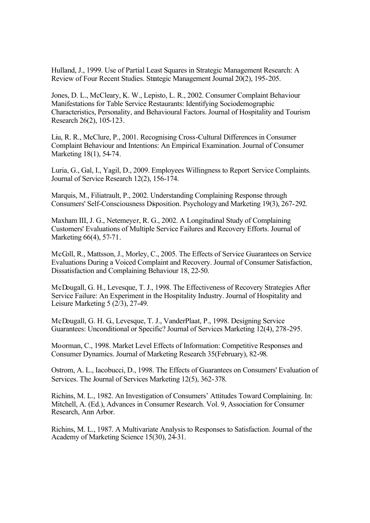Hulland, J., 1999. Use of Partial Least Squares in Strategic Management Research: A Review of Four Recent Studies. Strategic Management Journal 20(2), 195-205.

Jones, D. L., McCleary, K. W., Lepisto, L. R., 2002. Consumer Complaint Behaviour Manifestations for Table Service Restaurants: Identifying Sociodemographic Characteristics, Personality, and Behavioural Factors. Journal of Hospitality and Tourism Research 26(2), 105-123.

Liu, R. R., McClure, P., 2001. Recognising Cross-Cultural Differences in Consumer Complaint Behaviour and Intentions: An Empirical Examination. Journal of Consumer Marketing 18(1), 54-74.

Luria, G., Gal, I., Yagil, D., 2009. Employees Willingness to Report Service Complaints. Journal of Service Research 12(2), 156-174.

Marquis, M., Filiatrault, P., 2002. Understanding Complaining Response through Consumers' Self-Consciousness Disposition. Psychology and Marketing 19(3), 267-292.

Maxham III, J. G., Netemeyer, R. G., 2002. A Longitudinal Study of Complaining Customers' Evaluations of Multiple Service Failures and Recovery Efforts. Journal of Marketing 66(4), 57-71.

McColl, R., Mattsson, J., Morley, C., 2005. The Effects of Service Guarantees on Service Evaluations During a Voiced Complaint and Recovery. Journal of Consumer Satisfaction, Dissatisfaction and Complaining Behaviour 18, 22-50.

McDougall, G. H., Levesque, T. J., 1998. The Effectiveness of Recovery Strategies After Service Failure: An Experiment in the Hospitality Industry. Journal of Hospitality and Leisure Marketing 5 (2/3), 27-49.

McDougall, G. H. G., Levesque, T. J., VanderPlaat, P., 1998. Designing Service Guarantees: Unconditional or Specific? Journal of Services Marketing 12(4), 278-295.

Moorman, C., 1998. Market Level Effects of Information: Competitive Responses and Consumer Dynamics. Journal of Marketing Research 35(February), 82-98.

Ostrom, A. L., Iacobucci, D., 1998. The Effects of Guarantees on Consumers' Evaluation of Services. The Journal of Services Marketing 12(5), 362-378.

Richins, M. L., 1982. An Investigation of Consumers' Attitudes Toward Complaining. In: Mitchell, A. (Ed.), Advances in Consumer Research. Vol. 9, Association for Consumer Research, Ann Arbor.

Richins, M. L., 1987. A Multivariate Analysis to Responses to Satisfaction. Journal of the Academy of Marketing Science 15(30), 24-31.